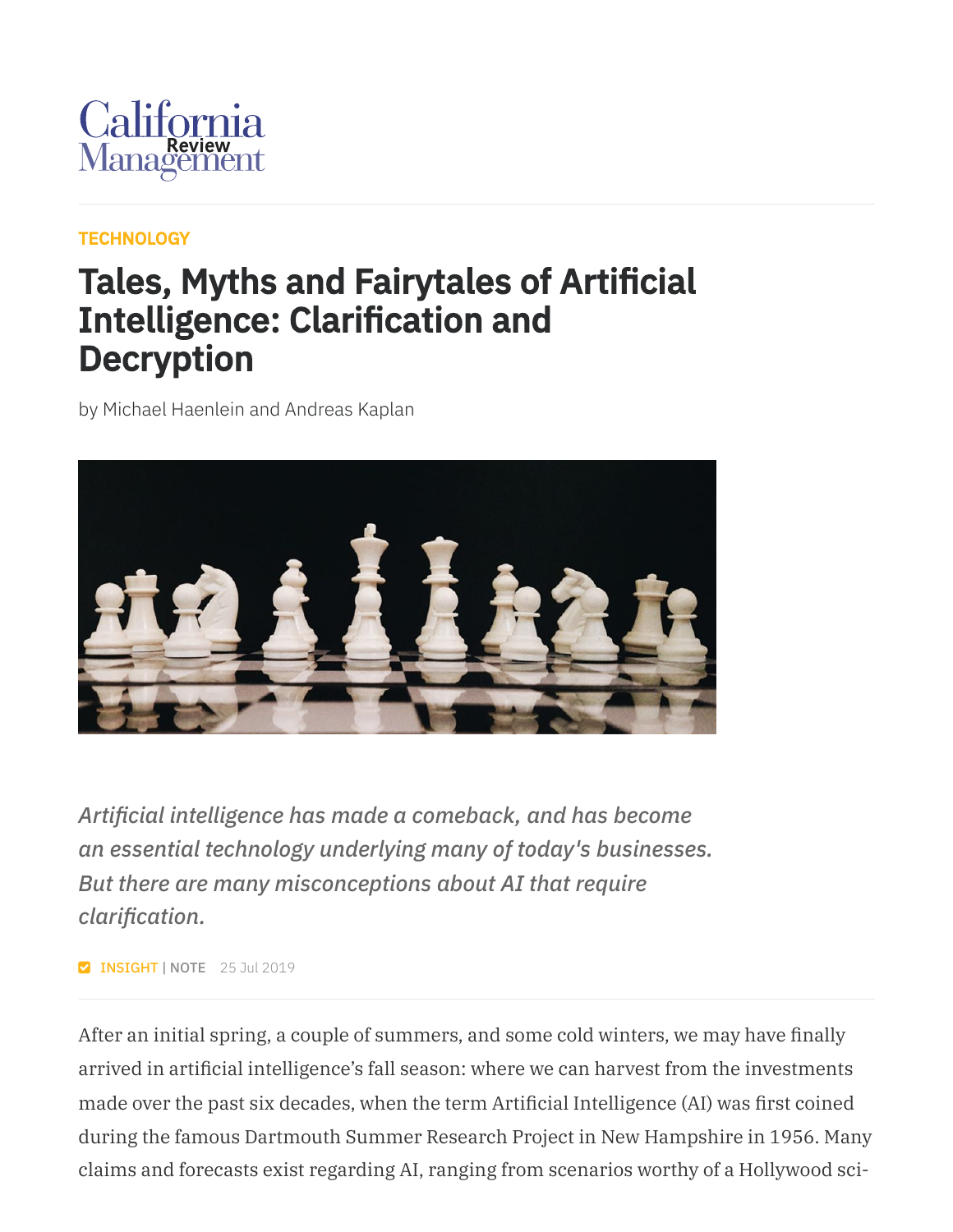

#### **[TECHNOLOGY](https://cmr.berkeley.edu/browse/topics/technology/)**

### Tales, Myths and Fairytales of Artificial Intelligence: Clarification and **Decryption**

by Michael Haenlein and Andreas Kaplan



*Artificial intelligence has made a comeback, and has become an essential technology underlying many of today's businesses. But there are many misconceptions about AI that require clarification.*

**Z INSIGHT | NOTE** 25 Jul 2019

After an initial spring, a couple of summers, and some cold winters, we may have finally arrived in artificial intelligence's fall season: where we can harvest from the investments made over the past six decades, when the term Artificial Intelligence (AI) was first coined during the famous Dartmouth Summer Research Project in New Hampshire in 1956. Many claims and forecasts exist regarding AI, ranging from scenarios worthy of a Hollywood sci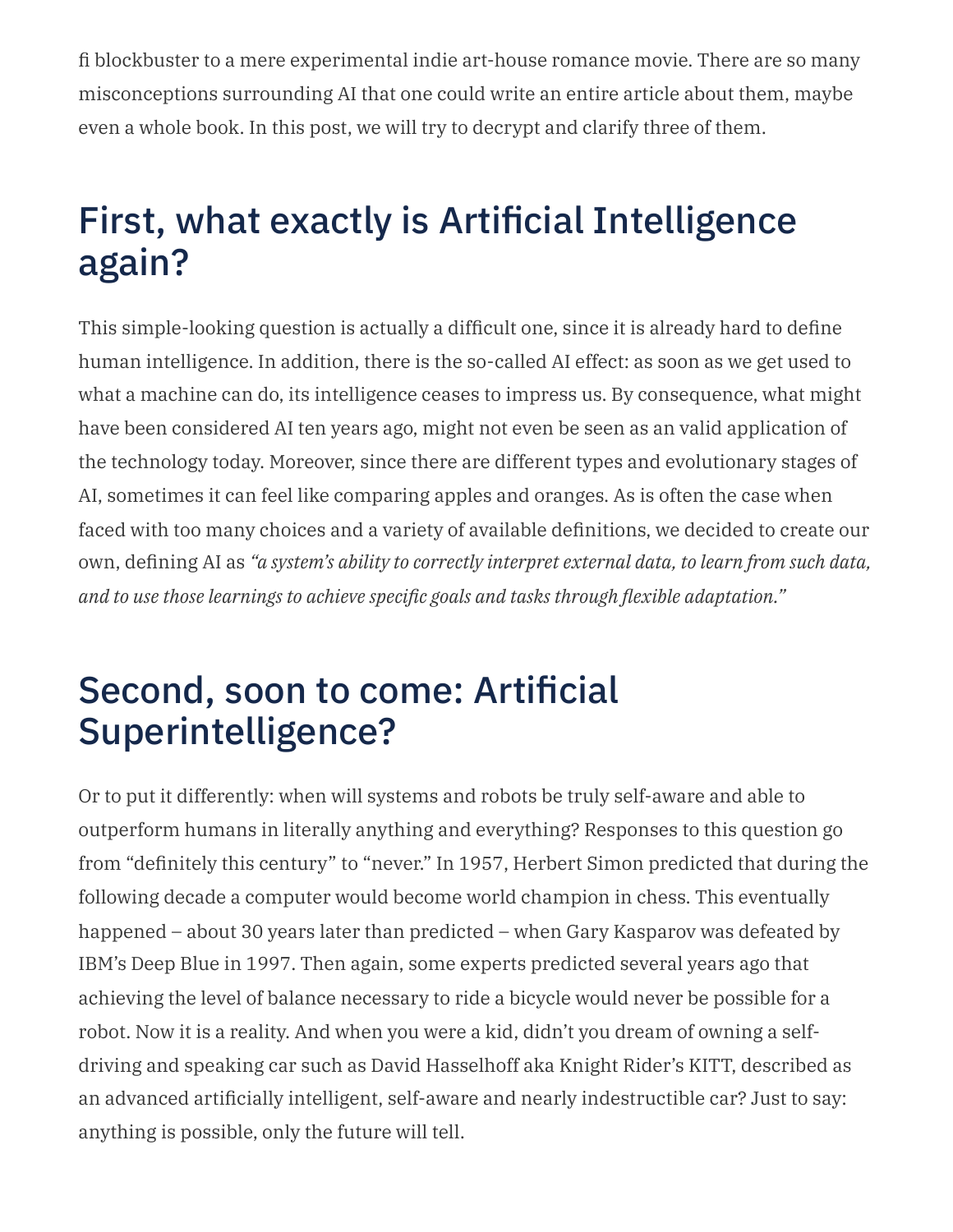fi blockbuster to a mere experimental indie art-house romance movie. There are so many misconceptions surrounding AI that one could write an entire article about them, maybe even a whole book. In this post, we will try to decrypt and clarify three of them.

# First, what exactly is Artificial Intelligence again?

This simple-looking question is actually a difficult one, since it is already hard to define human intelligence. In addition, there is the so-called AI effect: as soon as we get used to what a machine can do, its intelligence ceases to impress us. By consequence, what might have been considered AI ten years ago, might not even be seen as an valid application of the technology today. Moreover, since there are different types and evolutionary stages of AI, sometimes it can feel like comparing apples and oranges. As is often the case when faced with too many choices and a variety of available definitions, we decided to create our own, defining AI as *"a system's ability to correctly interpret external data, to learn from such data, and to use those learnings to achieve specific goals and tasks through flexible adaptation."*

### Second, soon to come: Artificial Superintelligence?

Or to put it differently: when will systems and robots be truly self-aware and able to outperform humans in literally anything and everything? Responses to this question go from "definitely this century" to "never." In 1957, Herbert Simon predicted that during the following decade a computer would become world champion in chess. This eventually happened – about 30 years later than predicted – when Gary Kasparov was defeated by IBM's Deep Blue in 1997. Then again, some experts predicted several years ago that achieving the level of balance necessary to ride a bicycle would never be possible for a robot. Now it is a reality. And when you were a kid, didn't you dream of owning a selfdriving and speaking car such as David Hasselhoff aka Knight Rider's KITT, described as an advanced artificially intelligent, self-aware and nearly indestructible car? Just to say: anything is possible, only the future will tell.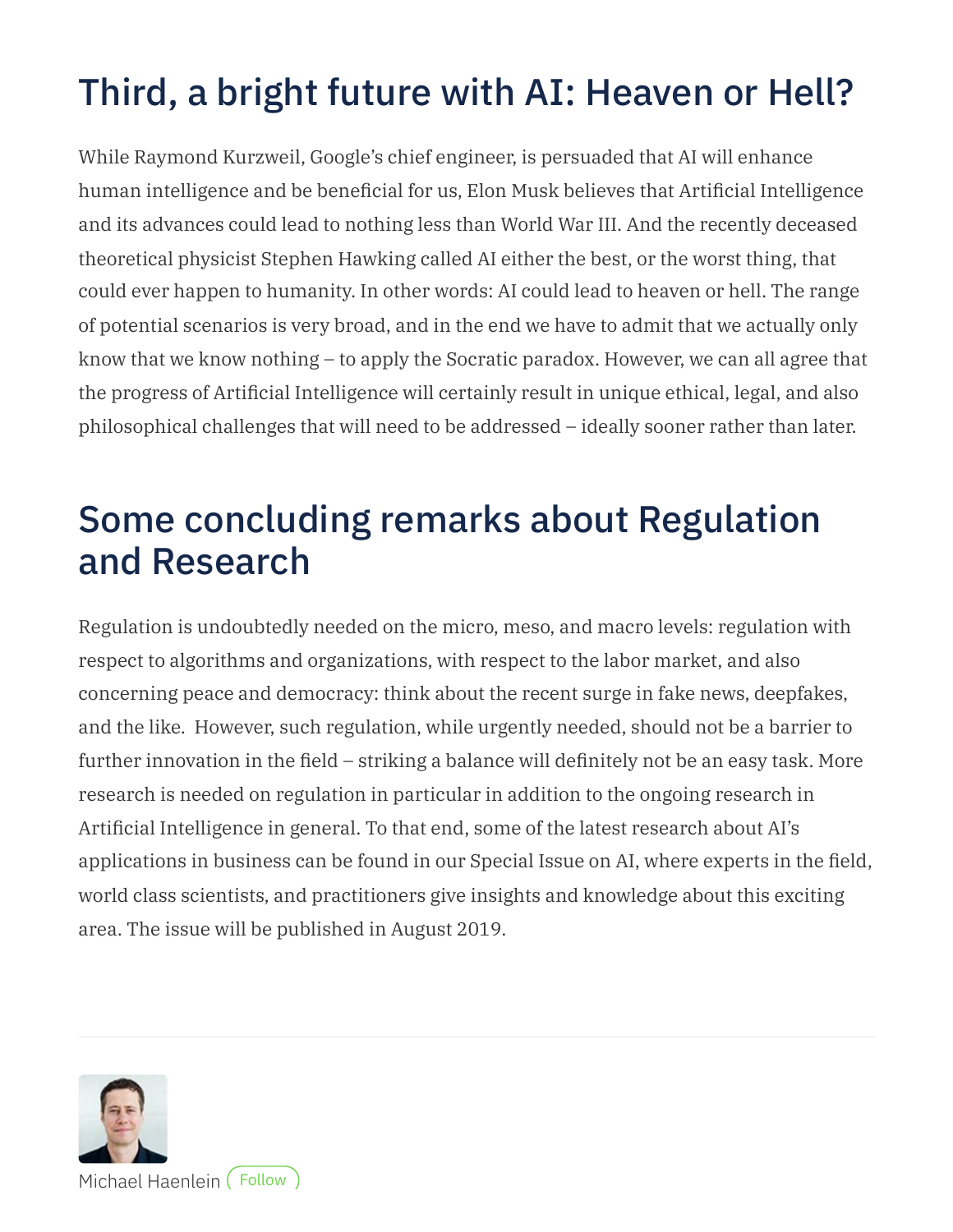# Third, a bright future with AI: Heaven or Hell?

While Raymond Kurzweil, Google's chief engineer, is persuaded that AI will enhance human intelligence and be beneficial for us, Elon Musk believes that Artificial Intelligence and its advances could lead to nothing less than World War III. And the recently deceased theoretical physicist Stephen Hawking called AI either the best, or the worst thing, that could ever happen to humanity. In other words: AI could lead to heaven or hell. The range of potential scenarios is very broad, and in the end we have to admit that we actually only know that we know nothing – to apply the Socratic paradox. However, we can all agree that the progress of Artificial Intelligence will certainly result in unique ethical, legal, and also philosophical challenges that will need to be addressed – ideally sooner rather than later.

## Some concluding remarks about Regulation and Research

Regulation is undoubtedly needed on the micro, meso, and macro levels: regulation with respect to algorithms and organizations, with respect to the labor market, and also concerning peace and democracy: think about the recent surge in fake news, deepfakes, and the like. However, such regulation, while urgently needed, should not be a barrier to further innovation in the field – striking a balance will definitely not be an easy task. More research is needed on regulation in particular in addition to the ongoing research in Artificial Intelligence in general. To that end, some of the latest research about AI's applications in business can be found in our Special Issue on AI, where experts in the field, world class scientists, and practitioners give insights and knowledge about this exciting area. The issue will be published in August 2019.